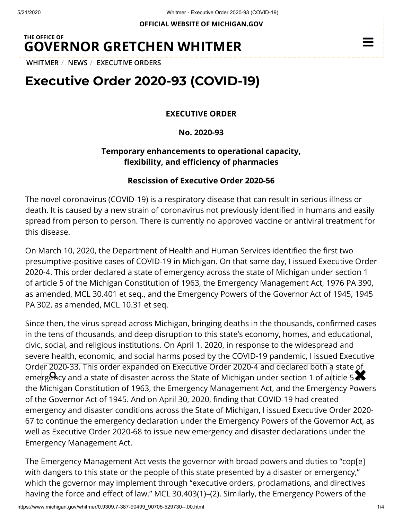**OFFICIAL WEBSITE OF [MICHIGAN.GOV](https://www.michigan.gov/)**

## **THE OFFICE OF GOVERNOR [GRETCHEN WHITMER](https://www.michigan.gov/whitmer/)**

**[WHITMER](https://www.michigan.gov/whitmer/)** / **[NEWS](https://www.michigan.gov/whitmer/0,9309,7-387-90499---,00.html)** / **[EXECUTIVE ORDERS](https://www.michigan.gov/whitmer/0,9309,7-387-90499_90705---,00.html)**

## **Executive Order 2020-93 (COVID-19)**

**EXECUTIVE ORDER**

**No. 2020-93**

## **Temporary enhancements to operational capacity,** flexibility, and efficiency of pharmacies

## **Rescission of Executive Order 2020-56**

The novel coronavirus (COVID-19) is a respiratory disease that can result in serious illness or death. It is caused by a new strain of coronavirus not previously identified in humans and easily spread from person to person. There is currently no approved vaccine or antiviral treatment for this disease.

On March 10, 2020, the Department of Health and Human Services identified the first two presumptive-positive cases of COVID-19 in Michigan. On that same day, I issued Executive Order 2020-4. This order declared a state of emergency across the state of Michigan under section 1 of article 5 of the Michigan Constitution of 1963, the Emergency Management Act, 1976 PA 390, as amended, MCL 30.401 et seq., and the Emergency Powers of the Governor Act of 1945, 1945 PA 302, as amended, MCL 10.31 et seq.

Since then, the virus spread across Michigan, bringing deaths in the thousands, confirmed cases in the tens of thousands, and deep disruption to this state's economy, homes, and educational, civic, social, and religious institutions. On April 1, 2020, in response to the widespread and severe health, economic, and social harms posed by the COVID-19 pandemic, I issued Executive Order 2020-33. This order expanded on Executive Order 2020-4 and declared both a state of order 2020-33. This order expanded on Executive Order 2020-4 and decided both a state of<br>emergency and a state of disaster across the State of Michigan under section 1 of article 5 the Michigan Constitution of 1963, the Emergency Management Act, and the Emergency Powers of the Governor Act of 1945. And on April 30, 2020, finding that COVID-19 had created emergency and disaster conditions across the State of Michigan, I issued Executive Order 2020- 67 to continue the emergency declaration under the Emergency Powers of the Governor Act, as well as Executive Order 2020-68 to issue new emergency and disaster declarations under the Emergency Management Act.

The Emergency Management Act vests the governor with broad powers and duties to "cop[e] with dangers to this state or the people of this state presented by a disaster or emergency," which the governor may implement through "executive orders, proclamations, and directives having the force and effect of law." MCL 30.403(1)–(2). Similarly, the Emergency Powers of the

 $\equiv$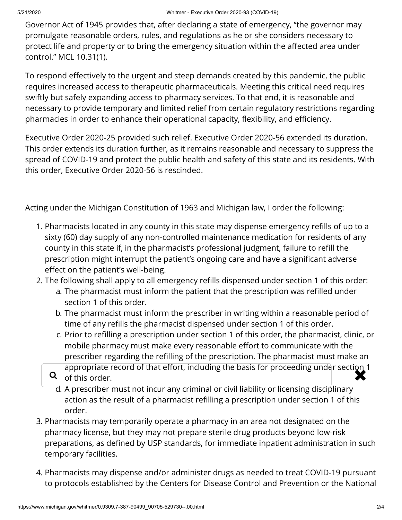Governor Act of 1945 provides that, after declaring a state of emergency, "the governor may promulgate reasonable orders, rules, and regulations as he or she considers necessary to protect life and property or to bring the emergency situation within the affected area under control." MCL 10.31(1).

To respond effectively to the urgent and steep demands created by this pandemic, the public requires increased access to therapeutic pharmaceuticals. Meeting this critical need requires swiftly but safely expanding access to pharmacy services. To that end, it is reasonable and necessary to provide temporary and limited relief from certain regulatory restrictions regarding pharmacies in order to enhance their operational capacity, flexibility, and efficiency.

Executive Order 2020-25 provided such relief. Executive Order 2020-56 extended its duration. This order extends its duration further, as it remains reasonable and necessary to suppress the spread of COVID-19 and protect the public health and safety of this state and its residents. With this order, Executive Order 2020-56 is rescinded.

Acting under the Michigan Constitution of 1963 and Michigan law, I order the following:

- 1. Pharmacists located in any county in this state may dispense emergency refills of up to a sixty (60) day supply of any non-controlled maintenance medication for residents of any county in this state if, in the pharmacist's professional judgment, failure to refill the prescription might interrupt the patient's ongoing care and have a significant adverse effect on the patient's well-being.
- 2. The following shall apply to all emergency refills dispensed under section 1 of this order:
	- a. The pharmacist must inform the patient that the prescription was refilled under section 1 of this order.
	- b. The pharmacist must inform the prescriber in writing within a reasonable period of time of any refills the pharmacist dispensed under section 1 of this order.
	- c. Prior to refilling a prescription under section 1 of this order, the pharmacist, clinic, or mobile pharmacy must make every reasonable effort to communicate with the prescriber regarding the refilling of the prescription. The pharmacist must make an
	- appropriate record of that effort, including the basis for proceeding under section 1<br>Q of this order. **Q** of this order.
		- d. A prescriber must not incur any criminal or civil liability or licensing disciplinary action as the result of a pharmacist refilling a prescription under section 1 of this order.
- 3. Pharmacists may temporarily operate a pharmacy in an area not designated on the pharmacy license, but they may not prepare sterile drug products beyond low-risk preparations, as defined by USP standards, for immediate inpatient administration in such temporary facilities.
- 4. Pharmacists may dispense and/or administer drugs as needed to treat COVID-19 pursuant to protocols established by the Centers for Disease Control and Prevention or the National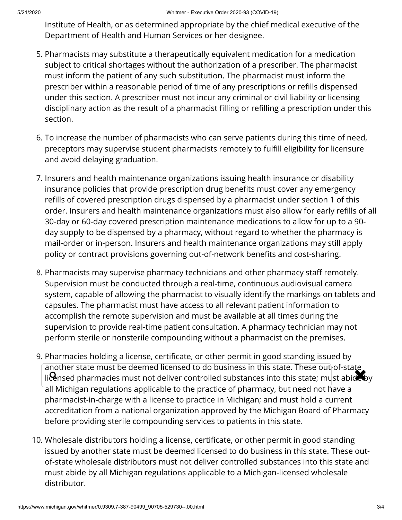Institute of Health, or as determined appropriate by the chief medical executive of the Department of Health and Human Services or her designee.

- 5. Pharmacists may substitute a therapeutically equivalent medication for a medication subject to critical shortages without the authorization of a prescriber. The pharmacist must inform the patient of any such substitution. The pharmacist must inform the prescriber within a reasonable period of time of any prescriptions or refills dispensed under this section. A prescriber must not incur any criminal or civil liability or licensing disciplinary action as the result of a pharmacist filling or refilling a prescription under this section.
- 6. To increase the number of pharmacists who can serve patients during this time of need, preceptors may supervise student pharmacists remotely to fulfill eligibility for licensure and avoid delaying graduation.
- 7. Insurers and health maintenance organizations issuing health insurance or disability insurance policies that provide prescription drug benefits must cover any emergency refills of covered prescription drugs dispensed by a pharmacist under section 1 of this order. Insurers and health maintenance organizations must also allow for early refills of all 30-day or 60-day covered prescription maintenance medications to allow for up to a 90 day supply to be dispensed by a pharmacy, without regard to whether the pharmacy is mail-order or in-person. Insurers and health maintenance organizations may still apply policy or contract provisions governing out-of-network benefits and cost-sharing.
- 8. Pharmacists may supervise pharmacy technicians and other pharmacy staff remotely. Supervision must be conducted through a real-time, continuous audiovisual camera system, capable of allowing the pharmacist to visually identify the markings on tablets and capsules. The pharmacist must have access to all relevant patient information to accomplish the remote supervision and must be available at all times during the supervision to provide real-time patient consultation. A pharmacy technician may not perform sterile or nonsterile compounding without a pharmacist on the premises.
- 9. Pharmacies holding a license, certificate, or other permit in good standing issued by another state must be deemed licensed to do business in this state. These out-of-state another state must be deemed ittensed to do business in this state. These out-or-state<br>li**ce**nsed pharmacies must not deliver controlled substances into this state; must abide by all Michigan regulations applicable to the practice of pharmacy, but need not have a pharmacist-in-charge with a license to practice in Michigan; and must hold a current accreditation from a national organization approved by the Michigan Board of Pharmacy before providing sterile compounding services to patients in this state.
- 10. Wholesale distributors holding a license, certificate, or other permit in good standing issued by another state must be deemed licensed to do business in this state. These outof-state wholesale distributors must not deliver controlled substances into this state and must abide by all Michigan regulations applicable to a Michigan-licensed wholesale distributor.